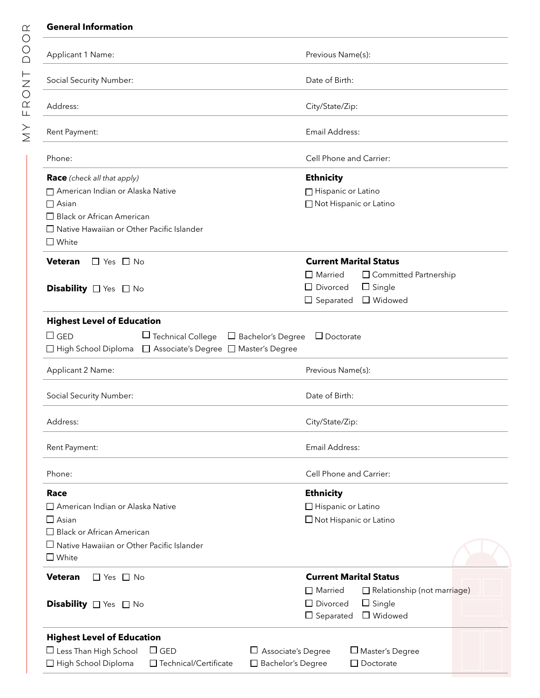#### **General Information**

| Applicant 1 Name:                                                                                                                                                                                                    | Previous Name(s):                                                                                                                                    |
|----------------------------------------------------------------------------------------------------------------------------------------------------------------------------------------------------------------------|------------------------------------------------------------------------------------------------------------------------------------------------------|
| Social Security Number:                                                                                                                                                                                              | Date of Birth:                                                                                                                                       |
| Address:                                                                                                                                                                                                             | City/State/Zip:                                                                                                                                      |
| Rent Payment:                                                                                                                                                                                                        | Email Address:                                                                                                                                       |
| Phone:                                                                                                                                                                                                               | Cell Phone and Carrier:                                                                                                                              |
| <b>Race</b> (check all that apply)<br>American Indian or Alaska Native<br>$\Box$ Asian<br>$\Box$ Black or African American<br>□ Native Hawaiian or Other Pacific Islander<br>$\square$ White                         | <b>Ethnicity</b><br>□ Hispanic or Latino<br>□ Not Hispanic or Latino                                                                                 |
| <b>Veteran</b><br>$\Box$ Yes $\Box$ No<br>Disability $\Box$ Yes $\Box$ No                                                                                                                                            | <b>Current Marital Status</b><br>$\Box$ Married<br>$\Box$ Committed Partnership<br>$\Box$ Divorced<br>$\Box$ Single<br>□ Widowed<br>$\Box$ Separated |
| <b>Highest Level of Education</b><br>$\Box$ Technical College<br>$\square$ GED<br>$\Box$ Bachelor's Degree<br>□ High School Diploma □ Associate's Degree □ Master's Degree                                           | $\Box$ Doctorate                                                                                                                                     |
| Applicant 2 Name:                                                                                                                                                                                                    | Previous Name(s):                                                                                                                                    |
| Social Security Number:                                                                                                                                                                                              | Date of Birth:                                                                                                                                       |
| Address:                                                                                                                                                                                                             | City/State/Zip:                                                                                                                                      |
| Rent Payment:                                                                                                                                                                                                        | Email Address:                                                                                                                                       |
| Phone:                                                                                                                                                                                                               | Cell Phone and Carrier:                                                                                                                              |
| Race<br>$\Box$ American Indian or Alaska Native<br>$\Box$ Asian<br>$\Box$ Black or African American<br>$\Box$ Native Hawaiian or Other Pacific Islander<br>$\square$ White<br><b>Veteran</b><br>$\Box$ Yes $\Box$ No | <b>Ethnicity</b><br>□ Hispanic or Latino<br>$\Box$ Not Hispanic or Latino<br><b>Current Marital Status</b>                                           |
| Disability <sup>1</sup> Yes <sup>1</sup> No                                                                                                                                                                          | Relationship (not marriage)<br>$\Box$ Married<br>$\Box$ Divorced<br>$\Box$ Single<br>$\Box$ Widowed<br>$\Box$ Separated                              |
| <b>Highest Level of Education</b><br>$\Box$ Less Than High School<br>Associate's Degree<br>$\Box$ GED<br>□ High School Diploma<br>□ Technical/Certificate<br>□ Bachelor's Degree                                     | $\square$ Master's Degree<br>$\Box$ Doctorate                                                                                                        |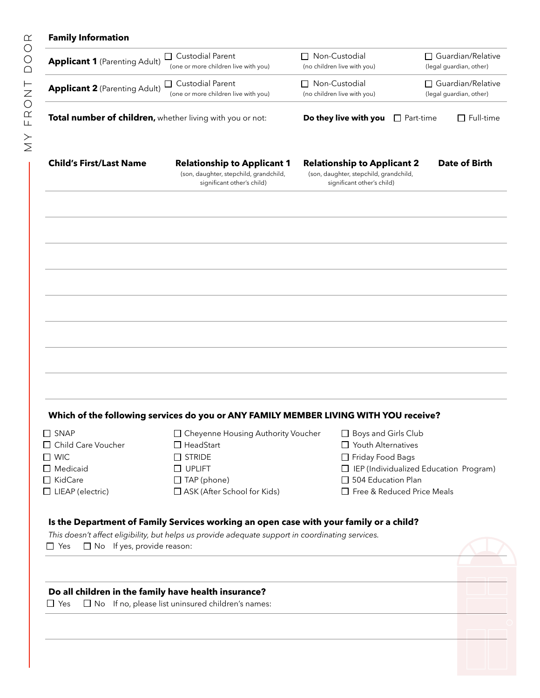### **Family Information**

| <b>Applicant 1 (Parenting Adult)</b>                                                                                                                | <b>Custodial Parent</b><br>ப<br>(one or more children live with you)                                                                              | □ Non-Custodial<br>(no children live with you)                                                                            | $\Box$ Guardian/Relative<br>(legal guardian, other) |
|-----------------------------------------------------------------------------------------------------------------------------------------------------|---------------------------------------------------------------------------------------------------------------------------------------------------|---------------------------------------------------------------------------------------------------------------------------|-----------------------------------------------------|
| <b>Applicant 2 (Parenting Adult)</b>                                                                                                                | □ Custodial Parent<br>(one or more children live with you)                                                                                        | □ Non-Custodial<br>(no children live with you)                                                                            | □ Guardian/Relative<br>(legal guardian, other)      |
| Total number of children, whether living with you or not:                                                                                           |                                                                                                                                                   | Do they live with you                                                                                                     | $\Box$ Full-time<br>$\Box$ Part-time                |
| <b>Child's First/Last Name</b>                                                                                                                      | <b>Relationship to Applicant 1</b><br>(son, daughter, stepchild, grandchild,<br>significant other's child)                                        | <b>Relationship to Applicant 2</b><br>(son, daughter, stepchild, grandchild,<br>significant other's child)                | <b>Date of Birth</b>                                |
|                                                                                                                                                     |                                                                                                                                                   |                                                                                                                           |                                                     |
|                                                                                                                                                     |                                                                                                                                                   |                                                                                                                           |                                                     |
|                                                                                                                                                     |                                                                                                                                                   |                                                                                                                           |                                                     |
|                                                                                                                                                     | Which of the following services do you or ANY FAMILY MEMBER LIVING WITH YOU receive?                                                              |                                                                                                                           |                                                     |
| $\Box$ SNAP<br>□ Child Care Voucher<br>$\Box$ WIC<br>$\Box$ Medicaid<br>□ KidCare<br>$\Box$ LIEAP (electric)                                        | □ Cheyenne Housing Authority Voucher<br>$\Box$ HeadStart<br>$\Box$ STRIDE<br>$\Box$ UPLIFT<br>$\Box$ TAP (phone)<br>□ ASK (After School for Kids) | □ Boys and Girls Club<br>□ Youth Alternatives<br>□ Friday Food Bags<br>□ 504 Education Plan<br>Free & Reduced Price Meals | $\Box$ IEP (Individualized Education Program)       |
|                                                                                                                                                     | Is the Department of Family Services working an open case with your family or a child?                                                            |                                                                                                                           |                                                     |
| This doesn't affect eligibility, but helps us provide adequate support in coordinating services.<br>$\Box$ Yes<br>$\Box$ No If yes, provide reason: |                                                                                                                                                   |                                                                                                                           |                                                     |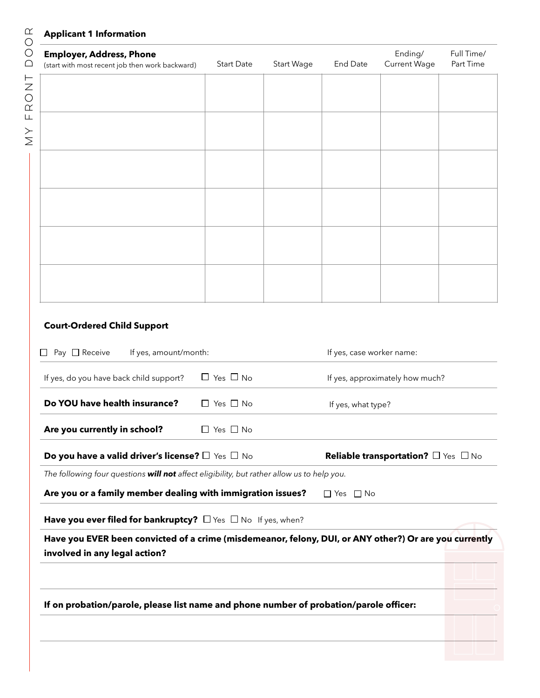#### **Applicant 1 Information**

# **Employer, Address, Phone**  (start with most recent job then work backward) Start Date Start Wage End Date Ending/ Current Wage Full Time/ Part Time

## **Court-Ordered Child Support**

| $\Box$ Pay $\Box$ Receive<br>If yes, amount/month:                                         |                      | If yes, case worker name:                                                                              |
|--------------------------------------------------------------------------------------------|----------------------|--------------------------------------------------------------------------------------------------------|
| If yes, do you have back child support?                                                    | $\Box$ Yes $\Box$ No | If yes, approximately how much?                                                                        |
| Do YOU have health insurance?                                                              | $\Box$ Yes $\Box$ No | If yes, what type?                                                                                     |
| Are you currently in school?                                                               | $\Box$ Yes $\Box$ No |                                                                                                        |
| Do you have a valid driver's license? $\square$ Yes $\square$ No                           |                      | <b>Reliable transportation?</b> $\Box$ Yes $\Box$ No                                                   |
| The following four questions will not affect eligibility, but rather allow us to help you. |                      |                                                                                                        |
| Are you or a family member dealing with immigration issues?                                |                      | $\Box$ Yes $\Box$ No                                                                                   |
| Have you ever filed for bankruptcy? $\Box$ Yes $\Box$ No If yes, when?                     |                      |                                                                                                        |
| involved in any legal action?                                                              |                      | Have you EVER been convicted of a crime (misdemeanor, felony, DUI, or ANY other?) Or are you currently |
| If on probation/parole, please list name and phone number of probation/parole officer:     |                      |                                                                                                        |
|                                                                                            |                      |                                                                                                        |
|                                                                                            |                      |                                                                                                        |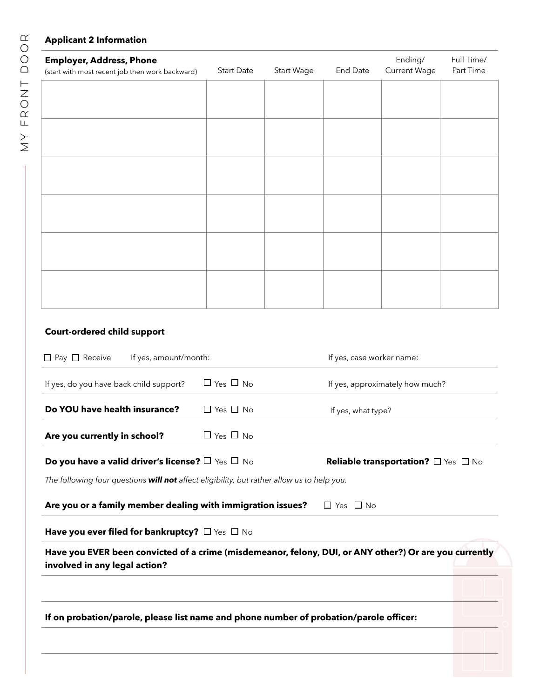### **Applicant 2 Information**

| <b>Employer, Address, Phone</b><br>(start with most recent job then work backward) | Start Date | Start Wage | End Date | Ending/<br><b>Current Wage</b> | Full Time/<br>Part Time |
|------------------------------------------------------------------------------------|------------|------------|----------|--------------------------------|-------------------------|
|                                                                                    |            |            |          |                                |                         |
|                                                                                    |            |            |          |                                |                         |
|                                                                                    |            |            |          |                                |                         |
|                                                                                    |            |            |          |                                |                         |
|                                                                                    |            |            |          |                                |                         |
|                                                                                    |            |            |          |                                |                         |
|                                                                                    |            |            |          |                                |                         |

# **Court-ordered child support**

| If on probation/parole, please list name and phone number of probation/parole officer:     |                      |                                                                                                        |
|--------------------------------------------------------------------------------------------|----------------------|--------------------------------------------------------------------------------------------------------|
| involved in any legal action?                                                              |                      | Have you EVER been convicted of a crime (misdemeanor, felony, DUI, or ANY other?) Or are you currently |
| Have you ever filed for bankruptcy? $\Box$ Yes $\Box$ No                                   |                      |                                                                                                        |
| Are you or a family member dealing with immigration issues?                                |                      | $\Box$ Yes $\Box$ No                                                                                   |
| The following four questions will not affect eligibility, but rather allow us to help you. |                      |                                                                                                        |
| Do you have a valid driver's license? $\square$ Yes $\square$ No                           |                      | <b>Reliable transportation?</b> $\Box$ Yes $\Box$ No                                                   |
| Are you currently in school?                                                               | $\Box$ Yes $\Box$ No |                                                                                                        |
| Do YOU have health insurance?                                                              | $\Box$ Yes $\Box$ No | If yes, what type?                                                                                     |
| If yes, do you have back child support?                                                    | $\Box$ Yes $\Box$ No | If yes, approximately how much?                                                                        |
| $\Box$ Pay $\Box$ Receive<br>If yes, amount/month:                                         |                      | If yes, case worker name:                                                                              |